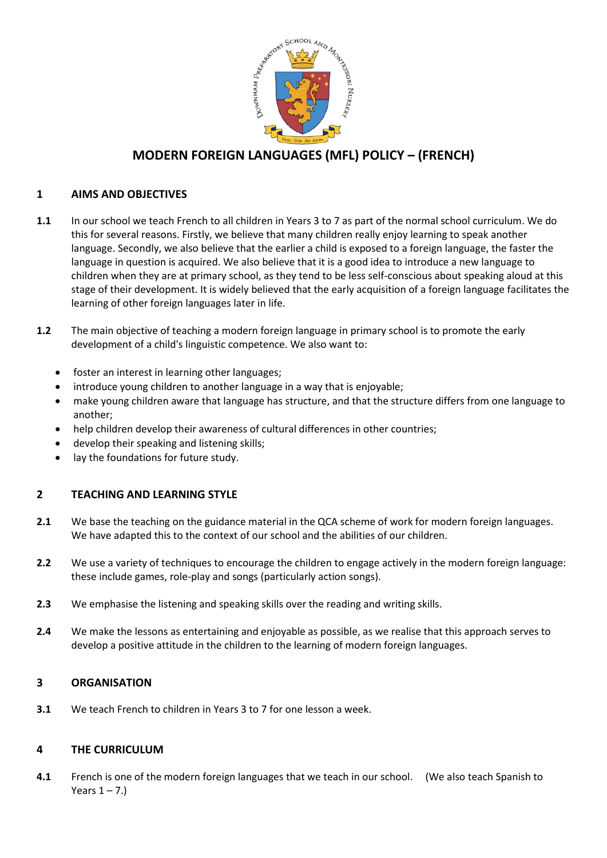

# **MODERN FOREIGN LANGUAGES (MFL) POLICY – (FRENCH)**

## **1 AIMS AND OBJECTIVES**

- **1.1** In our school we teach French to all children in Years 3 to 7 as part of the normal school curriculum. We do this for several reasons. Firstly, we believe that many children really enjoy learning to speak another language. Secondly, we also believe that the earlier a child is exposed to a foreign language, the faster the language in question is acquired. We also believe that it is a good idea to introduce a new language to children when they are at primary school, as they tend to be less self-conscious about speaking aloud at this stage of their development. It is widely believed that the early acquisition of a foreign language facilitates the learning of other foreign languages later in life.
- **1.2** The main objective of teaching a modern foreign language in primary school is to promote the early development of a child's linguistic competence. We also want to:
	- foster an interest in learning other languages;
	- introduce young children to another language in a way that is enjoyable;
	- make young children aware that language has structure, and that the structure differs from one language to another;
	- help children develop their awareness of cultural differences in other countries;
	- develop their speaking and listening skills;
	- lay the foundations for future study.

## **2 TEACHING AND LEARNING STYLE**

- **2.1** We base the teaching on the guidance material in the QCA scheme of work for modern foreign languages. We have adapted this to the context of our school and the abilities of our children.
- **2.2** We use a variety of techniques to encourage the children to engage actively in the modern foreign language: these include games, role-play and songs (particularly action songs).
- **2.3** We emphasise the listening and speaking skills over the reading and writing skills.
- **2.4** We make the lessons as entertaining and enjoyable as possible, as we realise that this approach serves to develop a positive attitude in the children to the learning of modern foreign languages.

## **3 ORGANISATION**

**3.1** We teach French to children in Years 3 to 7 for one lesson a week.

## **4 THE CURRICULUM**

**4.1** French is one of the modern foreign languages that we teach in our school. (We also teach Spanish to Years  $1 - 7$ .)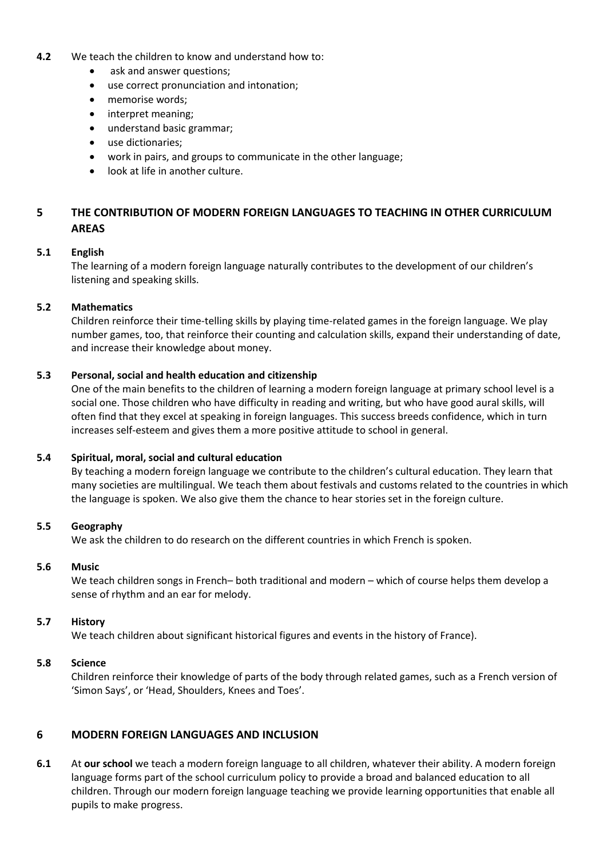#### **4.2** We teach the children to know and understand how to:

- ask and answer questions;
- use correct pronunciation and intonation;
- memorise words;
- interpret meaning;
- understand basic grammar;
- use dictionaries;
- work in pairs, and groups to communicate in the other language;
- look at life in another culture.

## **5 THE CONTRIBUTION OF MODERN FOREIGN LANGUAGES TO TEACHING IN OTHER CURRICULUM AREAS**

## **5.1 English**

The learning of a modern foreign language naturally contributes to the development of our children's listening and speaking skills.

## **5.2 Mathematics**

Children reinforce their time-telling skills by playing time-related games in the foreign language. We play number games, too, that reinforce their counting and calculation skills, expand their understanding of date, and increase their knowledge about money.

### **5.3 Personal, social and health education and citizenship**

One of the main benefits to the children of learning a modern foreign language at primary school level is a social one. Those children who have difficulty in reading and writing, but who have good aural skills, will often find that they excel at speaking in foreign languages. This success breeds confidence, which in turn increases self-esteem and gives them a more positive attitude to school in general.

#### **5.4 Spiritual, moral, social and cultural education**

By teaching a modern foreign language we contribute to the children's cultural education. They learn that many societies are multilingual. We teach them about festivals and customs related to the countries in which the language is spoken. We also give them the chance to hear stories set in the foreign culture.

## **5.5 Geography**

We ask the children to do research on the different countries in which French is spoken.

#### **5.6 Music**

We teach children songs in French– both traditional and modern – which of course helps them develop a sense of rhythm and an ear for melody.

#### **5.7 History**

We teach children about significant historical figures and events in the history of France).

#### **5.8 Science**

Children reinforce their knowledge of parts of the body through related games, such as a French version of 'Simon Says', or 'Head, Shoulders, Knees and Toes'.

## **6 MODERN FOREIGN LANGUAGES AND INCLUSION**

**6.1** At **our school** we teach a modern foreign language to all children, whatever their ability. A modern foreign language forms part of the school curriculum policy to provide a broad and balanced education to all children. Through our modern foreign language teaching we provide learning opportunities that enable all pupils to make progress.